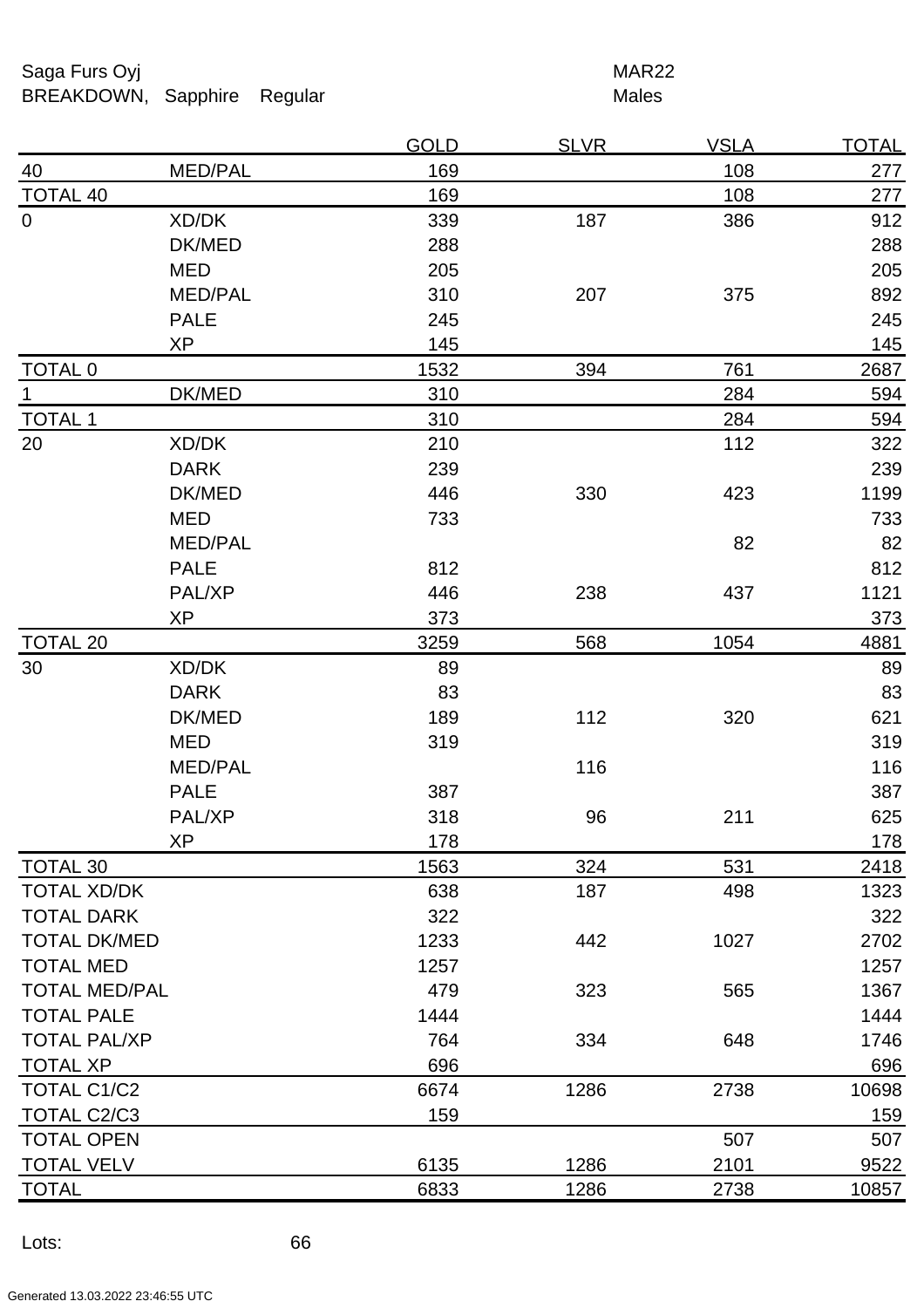Saga Furs Oyj **MAR22** BREAKDOWN, Sapphire Regular Males

|                      |                | <u>GOLD</u> | <u>SLVR</u> | <u>VSLA</u> | <u>TOTAL</u> |
|----------------------|----------------|-------------|-------------|-------------|--------------|
| <u>40</u>            | MED/PAL        | 169         |             | 108         | 277          |
| <b>TOTAL 40</b>      |                | 169         |             | 108         | 277          |
| $\boldsymbol{0}$     | XD/DK          | 339         | 187         | 386         | 912          |
|                      | DK/MED         | 288         |             |             | 288          |
|                      | <b>MED</b>     | 205         |             |             | 205          |
|                      | <b>MED/PAL</b> | 310         | 207         | 375         | 892          |
|                      | <b>PALE</b>    | 245         |             |             | 245          |
|                      | <b>XP</b>      | 145         |             |             | 145          |
| <b>TOTAL 0</b>       |                | 1532        | 394         | 761         | 2687         |
| 1                    | DK/MED         | 310         |             | 284         | 594          |
| <b>TOTAL 1</b>       |                | 310         |             | 284         | 594          |
| 20                   | XD/DK          | 210         |             | 112         | 322          |
|                      | <b>DARK</b>    | 239         |             |             | 239          |
|                      | DK/MED         | 446         | 330         | 423         | 1199         |
|                      | MED            | 733         |             |             | 733          |
|                      | MED/PAL        |             |             | 82          | 82           |
|                      | <b>PALE</b>    | 812         |             |             | 812          |
|                      | PAL/XP         | 446         | 238         | 437         | 1121         |
|                      | XP             | 373         |             |             | 373          |
| <b>TOTAL 20</b>      |                | 3259        | 568         | 1054        | 4881         |
| 30                   | XD/DK          | 89          |             |             | 89           |
|                      | <b>DARK</b>    | 83          |             |             | 83           |
|                      | DK/MED         | 189         | 112         | 320         | 621          |
|                      | MED            | 319         |             |             | 319          |
|                      | <b>MED/PAL</b> |             | 116         |             | 116          |
|                      | <b>PALE</b>    | 387         |             |             | 387          |
|                      | PAL/XP         | 318         | 96          | 211         | 625          |
|                      | ХP             | 178         |             |             | 178          |
| <b>TOTAL 30</b>      |                | 1563        | 324         | 531         | 2418         |
| <b>TOTAL XD/DK</b>   |                | 638         | 187         | 498         | 1323         |
| <b>TOTAL DARK</b>    |                | 322         |             |             | 322          |
| <b>TOTAL DK/MED</b>  |                | 1233        | 442         | 1027        | 2702         |
| <b>TOTAL MED</b>     |                | 1257        |             |             | 1257         |
| <b>TOTAL MED/PAL</b> |                | 479         | 323         | 565         | 1367         |
| <b>TOTAL PALE</b>    |                | 1444        |             |             | 1444         |
| <b>TOTAL PAL/XP</b>  |                | 764         | 334         | 648         | 1746         |
| <b>TOTAL XP</b>      |                | 696         |             |             | 696          |
| TOTAL C1/C2          |                | 6674        | 1286        | 2738        | 10698        |
| TOTAL C2/C3          |                | 159         |             |             | 159          |
| <b>TOTAL OPEN</b>    |                |             |             | 507         | 507          |
| <b>TOTAL VELV</b>    |                | 6135        | 1286        | 2101        | 9522         |
| <b>TOTAL</b>         |                | 6833        | 1286        | 2738        | 10857        |
|                      |                |             |             |             |              |

Lots: 66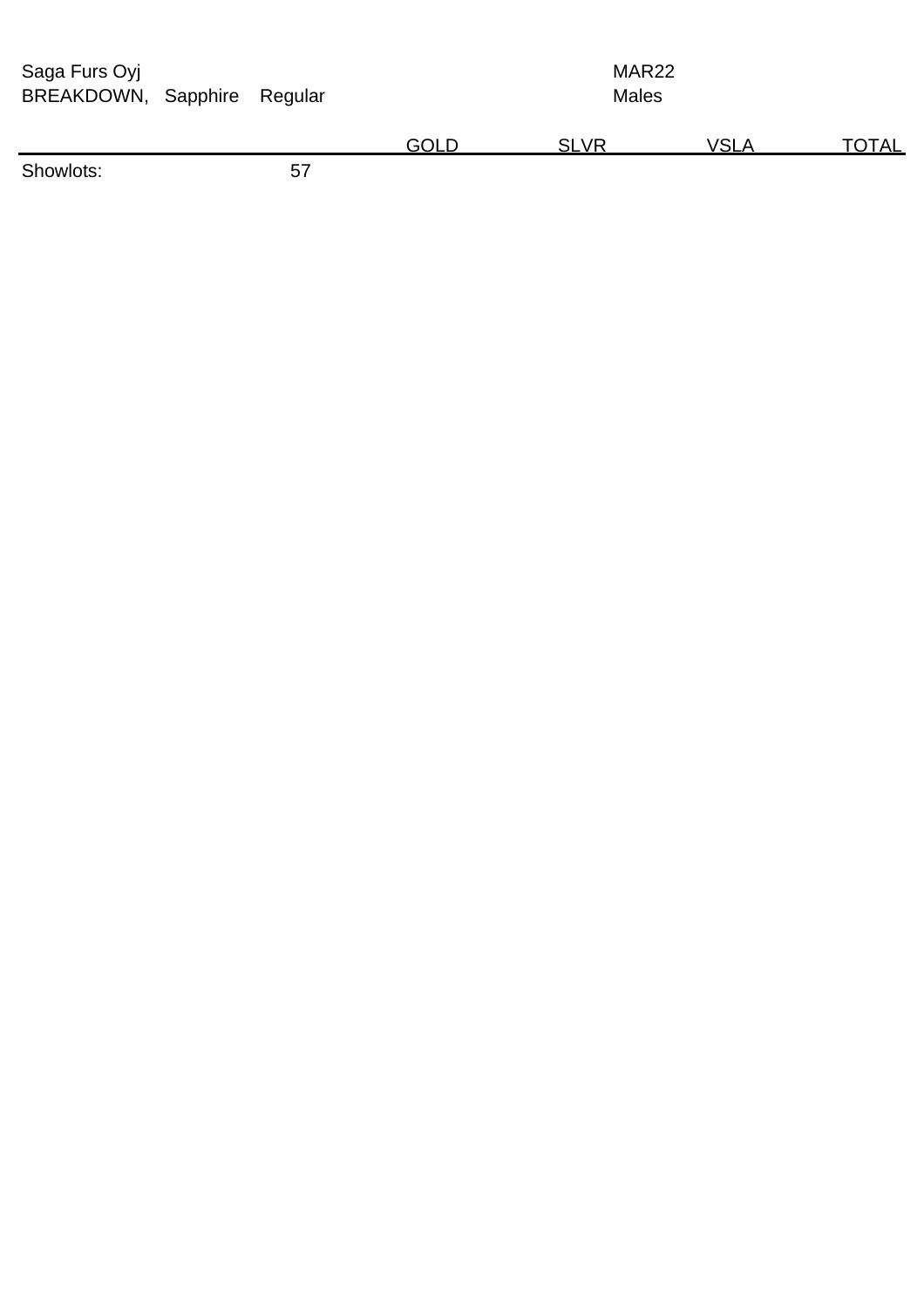| Saga Furs Oyj<br>BREAKDOWN, Sapphire<br>Regular |  |    |             | MAR <sub>22</sub><br><b>Males</b> |             |              |  |  |
|-------------------------------------------------|--|----|-------------|-----------------------------------|-------------|--------------|--|--|
|                                                 |  |    | <b>GOLD</b> | <b>SLVR</b>                       | <b>VSLA</b> | <u>TOTAL</u> |  |  |
| Showlots:                                       |  | 57 |             |                                   |             |              |  |  |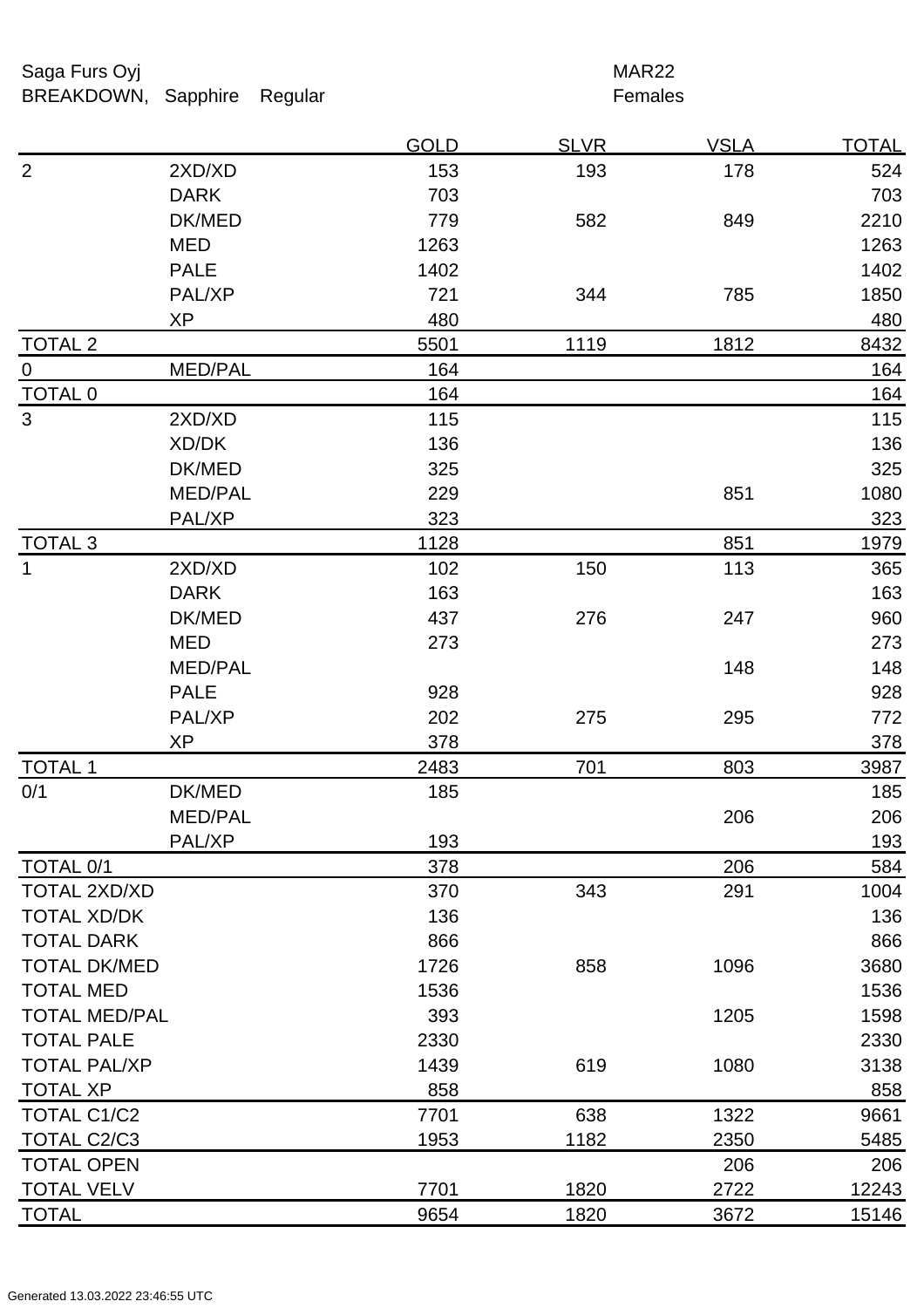Saga Furs Oyj and the Saga Furs Oyj and the Saga Furs of the MAR22 BREAKDOWN, Sapphire Regular **Females** 

| 153<br>193<br>2XD/XD<br>178<br>524<br><b>DARK</b><br>703<br>703<br>582<br>2210<br>DK/MED<br>779<br>849<br><b>MED</b><br>1263<br>1263<br><b>PALE</b><br>1402<br>1402<br>PAL/XP<br>721<br>344<br>785<br>1850<br>480<br>XP<br>480<br>1119<br>8432<br>5501<br>1812<br>MED/PAL<br>164<br>164<br>164<br>164<br>115<br>2XD/XD<br>115<br>XD/DK<br>136<br>136<br>DK/MED<br>325<br>325<br><b>MED/PAL</b><br>229<br>851<br>1080<br>323<br>323<br>PAL/XP<br>1128<br>851<br>1979<br>102<br>150<br>113<br>2XD/XD<br>365<br><b>DARK</b><br>163<br>163<br>437<br>276<br>960<br>DK/MED<br>247<br><b>MED</b><br>273<br>273<br>MED/PAL<br>148<br>148<br><b>PALE</b><br>928<br>928<br>PAL/XP<br>202<br>275<br>772<br>295<br><b>XP</b><br>378<br>378<br>3987<br>2483<br>701<br>803<br>DK/MED<br>185<br>185<br><b>MED/PAL</b><br>206<br>206<br>PAL/XP<br>193<br><u>193</u><br>378<br>206<br>584<br>343<br><b>TOTAL 2XD/XD</b><br>370<br>291<br>1004<br>136<br><b>TOTAL XD/DK</b><br>136<br><b>TOTAL DARK</b><br>866<br>866<br><b>TOTAL DK/MED</b><br>1726<br>858<br>1096<br>3680<br><b>TOTAL MED</b><br>1536<br>1536<br><b>TOTAL MED/PAL</b><br>393<br>1205<br>1598<br>2330<br>2330<br><b>TOTAL PAL/XP</b><br>1439<br>619<br>1080<br>3138<br>858<br>858<br>638<br><b>TOTAL C1/C2</b><br>1322<br>7701<br>9661<br>1182<br>2350<br>TOTAL C2/C3<br>1953<br>5485<br><b>TOTAL OPEN</b><br>206<br>206 |                   |  | <b>GOLD</b> | <b>SLVR</b> | <b>VSLA</b> | <b>TOTAL</b> |
|--------------------------------------------------------------------------------------------------------------------------------------------------------------------------------------------------------------------------------------------------------------------------------------------------------------------------------------------------------------------------------------------------------------------------------------------------------------------------------------------------------------------------------------------------------------------------------------------------------------------------------------------------------------------------------------------------------------------------------------------------------------------------------------------------------------------------------------------------------------------------------------------------------------------------------------------------------------------------------------------------------------------------------------------------------------------------------------------------------------------------------------------------------------------------------------------------------------------------------------------------------------------------------------------------------------------------------------------------------------------------|-------------------|--|-------------|-------------|-------------|--------------|
|                                                                                                                                                                                                                                                                                                                                                                                                                                                                                                                                                                                                                                                                                                                                                                                                                                                                                                                                                                                                                                                                                                                                                                                                                                                                                                                                                                          | $\overline{2}$    |  |             |             |             |              |
|                                                                                                                                                                                                                                                                                                                                                                                                                                                                                                                                                                                                                                                                                                                                                                                                                                                                                                                                                                                                                                                                                                                                                                                                                                                                                                                                                                          |                   |  |             |             |             |              |
|                                                                                                                                                                                                                                                                                                                                                                                                                                                                                                                                                                                                                                                                                                                                                                                                                                                                                                                                                                                                                                                                                                                                                                                                                                                                                                                                                                          |                   |  |             |             |             |              |
|                                                                                                                                                                                                                                                                                                                                                                                                                                                                                                                                                                                                                                                                                                                                                                                                                                                                                                                                                                                                                                                                                                                                                                                                                                                                                                                                                                          |                   |  |             |             |             |              |
|                                                                                                                                                                                                                                                                                                                                                                                                                                                                                                                                                                                                                                                                                                                                                                                                                                                                                                                                                                                                                                                                                                                                                                                                                                                                                                                                                                          |                   |  |             |             |             |              |
|                                                                                                                                                                                                                                                                                                                                                                                                                                                                                                                                                                                                                                                                                                                                                                                                                                                                                                                                                                                                                                                                                                                                                                                                                                                                                                                                                                          |                   |  |             |             |             |              |
|                                                                                                                                                                                                                                                                                                                                                                                                                                                                                                                                                                                                                                                                                                                                                                                                                                                                                                                                                                                                                                                                                                                                                                                                                                                                                                                                                                          |                   |  |             |             |             |              |
|                                                                                                                                                                                                                                                                                                                                                                                                                                                                                                                                                                                                                                                                                                                                                                                                                                                                                                                                                                                                                                                                                                                                                                                                                                                                                                                                                                          | <b>TOTAL 2</b>    |  |             |             |             |              |
|                                                                                                                                                                                                                                                                                                                                                                                                                                                                                                                                                                                                                                                                                                                                                                                                                                                                                                                                                                                                                                                                                                                                                                                                                                                                                                                                                                          | $\overline{0}$    |  |             |             |             |              |
|                                                                                                                                                                                                                                                                                                                                                                                                                                                                                                                                                                                                                                                                                                                                                                                                                                                                                                                                                                                                                                                                                                                                                                                                                                                                                                                                                                          | TOTAL 0           |  |             |             |             |              |
|                                                                                                                                                                                                                                                                                                                                                                                                                                                                                                                                                                                                                                                                                                                                                                                                                                                                                                                                                                                                                                                                                                                                                                                                                                                                                                                                                                          | 3                 |  |             |             |             |              |
|                                                                                                                                                                                                                                                                                                                                                                                                                                                                                                                                                                                                                                                                                                                                                                                                                                                                                                                                                                                                                                                                                                                                                                                                                                                                                                                                                                          |                   |  |             |             |             |              |
|                                                                                                                                                                                                                                                                                                                                                                                                                                                                                                                                                                                                                                                                                                                                                                                                                                                                                                                                                                                                                                                                                                                                                                                                                                                                                                                                                                          |                   |  |             |             |             |              |
|                                                                                                                                                                                                                                                                                                                                                                                                                                                                                                                                                                                                                                                                                                                                                                                                                                                                                                                                                                                                                                                                                                                                                                                                                                                                                                                                                                          |                   |  |             |             |             |              |
|                                                                                                                                                                                                                                                                                                                                                                                                                                                                                                                                                                                                                                                                                                                                                                                                                                                                                                                                                                                                                                                                                                                                                                                                                                                                                                                                                                          |                   |  |             |             |             |              |
|                                                                                                                                                                                                                                                                                                                                                                                                                                                                                                                                                                                                                                                                                                                                                                                                                                                                                                                                                                                                                                                                                                                                                                                                                                                                                                                                                                          | <b>TOTAL 3</b>    |  |             |             |             |              |
|                                                                                                                                                                                                                                                                                                                                                                                                                                                                                                                                                                                                                                                                                                                                                                                                                                                                                                                                                                                                                                                                                                                                                                                                                                                                                                                                                                          | $\mathbf{1}$      |  |             |             |             |              |
|                                                                                                                                                                                                                                                                                                                                                                                                                                                                                                                                                                                                                                                                                                                                                                                                                                                                                                                                                                                                                                                                                                                                                                                                                                                                                                                                                                          |                   |  |             |             |             |              |
|                                                                                                                                                                                                                                                                                                                                                                                                                                                                                                                                                                                                                                                                                                                                                                                                                                                                                                                                                                                                                                                                                                                                                                                                                                                                                                                                                                          |                   |  |             |             |             |              |
|                                                                                                                                                                                                                                                                                                                                                                                                                                                                                                                                                                                                                                                                                                                                                                                                                                                                                                                                                                                                                                                                                                                                                                                                                                                                                                                                                                          |                   |  |             |             |             |              |
|                                                                                                                                                                                                                                                                                                                                                                                                                                                                                                                                                                                                                                                                                                                                                                                                                                                                                                                                                                                                                                                                                                                                                                                                                                                                                                                                                                          |                   |  |             |             |             |              |
|                                                                                                                                                                                                                                                                                                                                                                                                                                                                                                                                                                                                                                                                                                                                                                                                                                                                                                                                                                                                                                                                                                                                                                                                                                                                                                                                                                          |                   |  |             |             |             |              |
|                                                                                                                                                                                                                                                                                                                                                                                                                                                                                                                                                                                                                                                                                                                                                                                                                                                                                                                                                                                                                                                                                                                                                                                                                                                                                                                                                                          |                   |  |             |             |             |              |
|                                                                                                                                                                                                                                                                                                                                                                                                                                                                                                                                                                                                                                                                                                                                                                                                                                                                                                                                                                                                                                                                                                                                                                                                                                                                                                                                                                          |                   |  |             |             |             |              |
|                                                                                                                                                                                                                                                                                                                                                                                                                                                                                                                                                                                                                                                                                                                                                                                                                                                                                                                                                                                                                                                                                                                                                                                                                                                                                                                                                                          | <b>TOTAL 1</b>    |  |             |             |             |              |
|                                                                                                                                                                                                                                                                                                                                                                                                                                                                                                                                                                                                                                                                                                                                                                                                                                                                                                                                                                                                                                                                                                                                                                                                                                                                                                                                                                          | 0/1               |  |             |             |             |              |
|                                                                                                                                                                                                                                                                                                                                                                                                                                                                                                                                                                                                                                                                                                                                                                                                                                                                                                                                                                                                                                                                                                                                                                                                                                                                                                                                                                          |                   |  |             |             |             |              |
|                                                                                                                                                                                                                                                                                                                                                                                                                                                                                                                                                                                                                                                                                                                                                                                                                                                                                                                                                                                                                                                                                                                                                                                                                                                                                                                                                                          |                   |  |             |             |             |              |
|                                                                                                                                                                                                                                                                                                                                                                                                                                                                                                                                                                                                                                                                                                                                                                                                                                                                                                                                                                                                                                                                                                                                                                                                                                                                                                                                                                          | <b>TOTAL 0/1</b>  |  |             |             |             |              |
|                                                                                                                                                                                                                                                                                                                                                                                                                                                                                                                                                                                                                                                                                                                                                                                                                                                                                                                                                                                                                                                                                                                                                                                                                                                                                                                                                                          |                   |  |             |             |             |              |
|                                                                                                                                                                                                                                                                                                                                                                                                                                                                                                                                                                                                                                                                                                                                                                                                                                                                                                                                                                                                                                                                                                                                                                                                                                                                                                                                                                          |                   |  |             |             |             |              |
|                                                                                                                                                                                                                                                                                                                                                                                                                                                                                                                                                                                                                                                                                                                                                                                                                                                                                                                                                                                                                                                                                                                                                                                                                                                                                                                                                                          |                   |  |             |             |             |              |
|                                                                                                                                                                                                                                                                                                                                                                                                                                                                                                                                                                                                                                                                                                                                                                                                                                                                                                                                                                                                                                                                                                                                                                                                                                                                                                                                                                          |                   |  |             |             |             |              |
|                                                                                                                                                                                                                                                                                                                                                                                                                                                                                                                                                                                                                                                                                                                                                                                                                                                                                                                                                                                                                                                                                                                                                                                                                                                                                                                                                                          |                   |  |             |             |             |              |
|                                                                                                                                                                                                                                                                                                                                                                                                                                                                                                                                                                                                                                                                                                                                                                                                                                                                                                                                                                                                                                                                                                                                                                                                                                                                                                                                                                          |                   |  |             |             |             |              |
|                                                                                                                                                                                                                                                                                                                                                                                                                                                                                                                                                                                                                                                                                                                                                                                                                                                                                                                                                                                                                                                                                                                                                                                                                                                                                                                                                                          | <b>TOTAL PALE</b> |  |             |             |             |              |
|                                                                                                                                                                                                                                                                                                                                                                                                                                                                                                                                                                                                                                                                                                                                                                                                                                                                                                                                                                                                                                                                                                                                                                                                                                                                                                                                                                          |                   |  |             |             |             |              |
|                                                                                                                                                                                                                                                                                                                                                                                                                                                                                                                                                                                                                                                                                                                                                                                                                                                                                                                                                                                                                                                                                                                                                                                                                                                                                                                                                                          | <b>TOTAL XP</b>   |  |             |             |             |              |
|                                                                                                                                                                                                                                                                                                                                                                                                                                                                                                                                                                                                                                                                                                                                                                                                                                                                                                                                                                                                                                                                                                                                                                                                                                                                                                                                                                          |                   |  |             |             |             |              |
|                                                                                                                                                                                                                                                                                                                                                                                                                                                                                                                                                                                                                                                                                                                                                                                                                                                                                                                                                                                                                                                                                                                                                                                                                                                                                                                                                                          |                   |  |             |             |             |              |
|                                                                                                                                                                                                                                                                                                                                                                                                                                                                                                                                                                                                                                                                                                                                                                                                                                                                                                                                                                                                                                                                                                                                                                                                                                                                                                                                                                          |                   |  |             |             |             |              |
| 2722<br><b>TOTAL VELV</b><br>7701<br>1820<br>12243                                                                                                                                                                                                                                                                                                                                                                                                                                                                                                                                                                                                                                                                                                                                                                                                                                                                                                                                                                                                                                                                                                                                                                                                                                                                                                                       |                   |  |             |             |             |              |
| 9654<br>1820<br>3672<br>15146                                                                                                                                                                                                                                                                                                                                                                                                                                                                                                                                                                                                                                                                                                                                                                                                                                                                                                                                                                                                                                                                                                                                                                                                                                                                                                                                            | <b>TOTAL</b>      |  |             |             |             |              |